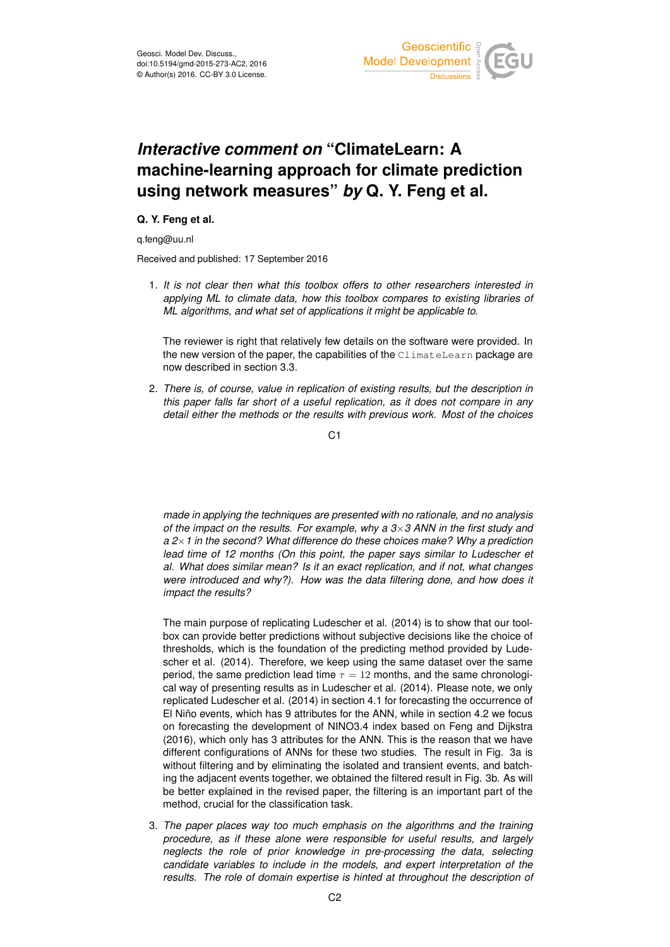

## *Interactive comment on* **"ClimateLearn: A machine-learning approach for climate prediction using network measures"** *by* **Q. Y. Feng et al.**

## **Q. Y. Feng et al.**

q.feng@uu.nl

Received and published: 17 September 2016

1. *It is not clear then what this toolbox offers to other researchers interested in applying ML to climate data, how this toolbox compares to existing libraries of ML algorithms, and what set of applications it might be applicable to.*

The reviewer is right that relatively few details on the software were provided. In the new version of the paper, the capabilities of the ClimateLearn package are now described in section 3.3.

2. *There is, of course, value in replication of existing results, but the description in this paper falls far short of a useful replication, as it does not compare in any detail either the methods or the results with previous work. Most of the choices*

C<sub>1</sub>

*made in applying the techniques are presented with no rationale, and no analysis of the impact on the results. For example, why a 3*×*3 ANN in the first study and a 2*×*1 in the second? What difference do these choices make? Why a prediction lead time of 12 months (On this point, the paper says similar to Ludescher et al. What does similar mean? Is it an exact replication, and if not, what changes were introduced and why?). How was the data filtering done, and how does it impact the results?*

The main purpose of replicating Ludescher et al. (2014) is to show that our toolbox can provide better predictions without subjective decisions like the choice of thresholds, which is the foundation of the predicting method provided by Ludescher et al. (2014). Therefore, we keep using the same dataset over the same period, the same prediction lead time  $\tau = 12$  months, and the same chronological way of presenting results as in Ludescher et al. (2014). Please note, we only replicated Ludescher et al. (2014) in section 4.1 for forecasting the occurrence of El Niño events, which has 9 attributes for the ANN, while in section 4.2 we focus on forecasting the development of NINO3.4 index based on Feng and Dijkstra (2016), which only has 3 attributes for the ANN. This is the reason that we have different configurations of ANNs for these two studies. The result in Fig. 3a is without filtering and by eliminating the isolated and transient events, and batching the adjacent events together, we obtained the filtered result in Fig. 3b. As will be better explained in the revised paper, the filtering is an important part of the method, crucial for the classification task.

3. *The paper places way too much emphasis on the algorithms and the training procedure, as if these alone were responsible for useful results, and largely neglects the role of prior knowledge in pre-processing the data, selecting candidate variables to include in the models, and expert interpretation of the results. The role of domain expertise is hinted at throughout the description of*